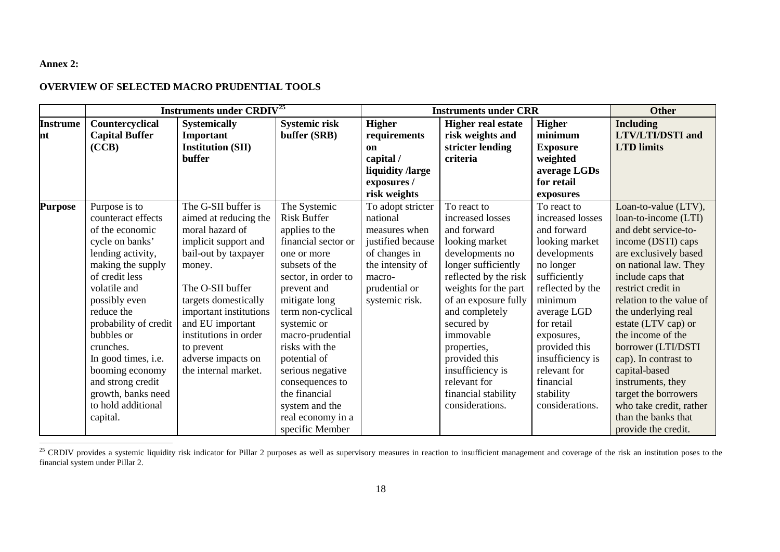## <span id="page-0-0"></span>**Annex 2:**

## **OVERVIEW OF SELECTED MACRO PRUDENTIAL TOOLS**

|                        | <b>Instruments under CRDIV<sup>25</sup></b>                                                                                                                                                                                                                                                                                                                     |                                                                                                                                                                                                                                                                                                          |                                                                                                                                                                                                                                                                                                                                                                                 | <b>Instruments under CRR</b>                                                                                                                          |                                                                                                                                                                                                                                                                                                                                                |                                                                                                                                                                                                                                                                                           | <b>Other</b>                                                                                                                                                                                                                                                                                                                                                                                                                                                                |
|------------------------|-----------------------------------------------------------------------------------------------------------------------------------------------------------------------------------------------------------------------------------------------------------------------------------------------------------------------------------------------------------------|----------------------------------------------------------------------------------------------------------------------------------------------------------------------------------------------------------------------------------------------------------------------------------------------------------|---------------------------------------------------------------------------------------------------------------------------------------------------------------------------------------------------------------------------------------------------------------------------------------------------------------------------------------------------------------------------------|-------------------------------------------------------------------------------------------------------------------------------------------------------|------------------------------------------------------------------------------------------------------------------------------------------------------------------------------------------------------------------------------------------------------------------------------------------------------------------------------------------------|-------------------------------------------------------------------------------------------------------------------------------------------------------------------------------------------------------------------------------------------------------------------------------------------|-----------------------------------------------------------------------------------------------------------------------------------------------------------------------------------------------------------------------------------------------------------------------------------------------------------------------------------------------------------------------------------------------------------------------------------------------------------------------------|
| <b>Instrume</b><br>Int | Countercyclical<br><b>Capital Buffer</b><br>(CCB)                                                                                                                                                                                                                                                                                                               | <b>Systemically</b><br>Important<br><b>Institution (SII)</b><br>buffer                                                                                                                                                                                                                                   | <b>Systemic risk</b><br>buffer (SRB)                                                                                                                                                                                                                                                                                                                                            | <b>Higher</b><br>requirements<br>on<br>capital /<br>liquidity /large<br>exposures /<br>risk weights                                                   | <b>Higher real estate</b><br>risk weights and<br>stricter lending<br>criteria                                                                                                                                                                                                                                                                  | <b>Higher</b><br>minimum<br><b>Exposure</b><br>weighted<br>average LGDs<br>for retail<br>exposures                                                                                                                                                                                        | <b>Including</b><br><b>LTV/LTI/DSTI</b> and<br><b>LTD</b> limits                                                                                                                                                                                                                                                                                                                                                                                                            |
| <b>Purpose</b>         | Purpose is to<br>counteract effects<br>of the economic<br>cycle on banks'<br>lending activity,<br>making the supply<br>of credit less<br>volatile and<br>possibly even<br>reduce the<br>probability of credit<br>bubbles or<br>crunches.<br>In good times, i.e.<br>booming economy<br>and strong credit<br>growth, banks need<br>to hold additional<br>capital. | The G-SII buffer is<br>aimed at reducing the<br>moral hazard of<br>implicit support and<br>bail-out by taxpayer<br>money.<br>The O-SII buffer<br>targets domestically<br>important institutions<br>and EU important<br>institutions in order<br>to prevent<br>adverse impacts on<br>the internal market. | The Systemic<br><b>Risk Buffer</b><br>applies to the<br>financial sector or<br>one or more<br>subsets of the<br>sector, in order to<br>prevent and<br>mitigate long<br>term non-cyclical<br>systemic or<br>macro-prudential<br>risks with the<br>potential of<br>serious negative<br>consequences to<br>the financial<br>system and the<br>real economy in a<br>specific Member | To adopt stricter<br>national<br>measures when<br>justified because<br>of changes in<br>the intensity of<br>macro-<br>prudential or<br>systemic risk. | To react to<br>increased losses<br>and forward<br>looking market<br>developments no<br>longer sufficiently<br>reflected by the risk<br>weights for the part<br>of an exposure fully<br>and completely<br>secured by<br>immovable<br>properties,<br>provided this<br>insufficiency is<br>relevant for<br>financial stability<br>considerations. | To react to<br>increased losses<br>and forward<br>looking market<br>developments<br>no longer<br>sufficiently<br>reflected by the<br>minimum<br>average LGD<br>for retail<br>exposures,<br>provided this<br>insufficiency is<br>relevant for<br>financial<br>stability<br>considerations. | Loan-to-value (LTV),<br>loan-to-income (LTI)<br>and debt service-to-<br>income (DSTI) caps<br>are exclusively based<br>on national law. They<br>include caps that<br>restrict credit in<br>relation to the value of<br>the underlying real<br>estate (LTV cap) or<br>the income of the<br>borrower (LTI/DSTI<br>cap). In contrast to<br>capital-based<br>instruments, they<br>target the borrowers<br>who take credit, rather<br>than the banks that<br>provide the credit. |

<sup>&</sup>lt;sup>25</sup> CRDIV provides a systemic liquidity risk indicator for Pillar 2 purposes as well as supervisory measures in reaction to insufficient management and coverage of the risk an institution poses to the financial system under Pillar 2.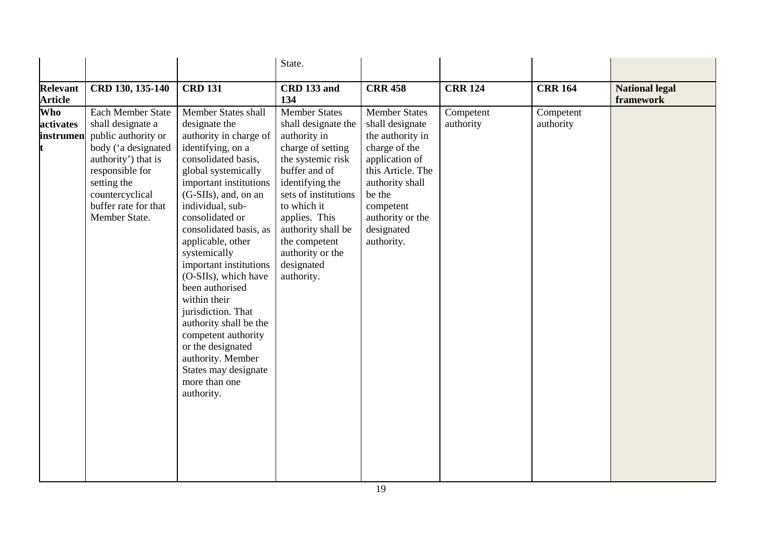|                                   |                                                                                                                                                                                                           |                                                                                                                                                                                                                                                                                                                                                                                                                                                                                                                                                        | State.                                                                                                                                                                                                                                                                                   |                                                                                                                                                                                                               |                        |                        |                                    |
|-----------------------------------|-----------------------------------------------------------------------------------------------------------------------------------------------------------------------------------------------------------|--------------------------------------------------------------------------------------------------------------------------------------------------------------------------------------------------------------------------------------------------------------------------------------------------------------------------------------------------------------------------------------------------------------------------------------------------------------------------------------------------------------------------------------------------------|------------------------------------------------------------------------------------------------------------------------------------------------------------------------------------------------------------------------------------------------------------------------------------------|---------------------------------------------------------------------------------------------------------------------------------------------------------------------------------------------------------------|------------------------|------------------------|------------------------------------|
| <b>Relevant</b><br><b>Article</b> | CRD 130, 135-140                                                                                                                                                                                          | <b>CRD 131</b>                                                                                                                                                                                                                                                                                                                                                                                                                                                                                                                                         | CRD 133 and<br>134                                                                                                                                                                                                                                                                       | <b>CRR 458</b>                                                                                                                                                                                                | <b>CRR 124</b>         | <b>CRR 164</b>         | <b>National legal</b><br>framework |
| Who<br>activates<br>instrumen     | Each Member State<br>shall designate a<br>public authority or<br>body ('a designated<br>authority') that is<br>responsible for<br>setting the<br>countercyclical<br>buffer rate for that<br>Member State. | Member States shall<br>designate the<br>authority in charge of<br>identifying, on a<br>consolidated basis,<br>global systemically<br>important institutions<br>(G-SIIs), and, on an<br>individual, sub-<br>consolidated or<br>consolidated basis, as<br>applicable, other<br>systemically<br>important institutions<br>(O-SIIs), which have<br>been authorised<br>within their<br>jurisdiction. That<br>authority shall be the<br>competent authority<br>or the designated<br>authority. Member<br>States may designate<br>more than one<br>authority. | <b>Member States</b><br>shall designate the<br>authority in<br>charge of setting<br>the systemic risk<br>buffer and of<br>identifying the<br>sets of institutions<br>to which it<br>applies. This<br>authority shall be<br>the competent<br>authority or the<br>designated<br>authority. | <b>Member States</b><br>shall designate<br>the authority in<br>charge of the<br>application of<br>this Article. The<br>authority shall<br>be the<br>competent<br>authority or the<br>designated<br>authority. | Competent<br>authority | Competent<br>authority |                                    |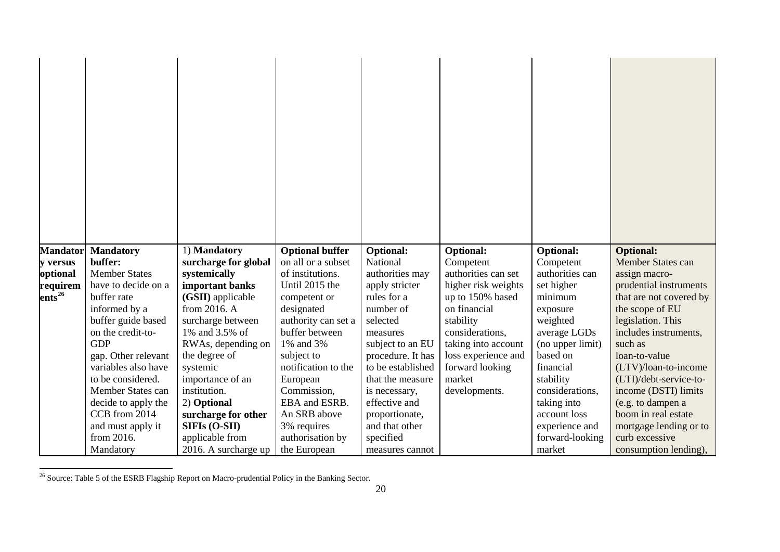<span id="page-2-0"></span>

| <b>Mandator</b>               | <b>Mandatory</b>     | 1) Mandatory         | <b>Optional buffer</b> | <b>Optional:</b>  | <b>Optional:</b>    | <b>Optional:</b> | <b>Optional:</b>        |
|-------------------------------|----------------------|----------------------|------------------------|-------------------|---------------------|------------------|-------------------------|
| y versus                      | buffer:              | surcharge for global | on all or a subset     | National          | Competent           | Competent        | Member States can       |
| optional                      | <b>Member States</b> | systemically         | of institutions.       | authorities may   | authorities can set | authorities can  | assign macro-           |
| requirem                      | have to decide on a  | important banks      | Until 2015 the         | apply stricter    | higher risk weights | set higher       | prudential instruments  |
| $\overline{\text{ents}}^{26}$ | buffer rate          | (GSII) applicable    | competent or           | rules for a       | up to 150% based    | minimum          | that are not covered by |
|                               | informed by a        | from 2016. A         | designated             | number of         | on financial        | exposure         | the scope of EU         |
|                               | buffer guide based   | surcharge between    | authority can set a    | selected          | stability           | weighted         | legislation. This       |
|                               | on the credit-to-    | 1% and 3.5% of       | buffer between         | measures          | considerations,     | average LGDs     | includes instruments,   |
|                               | <b>GDP</b>           | RWAs, depending on   | 1% and 3%              | subject to an EU  | taking into account | (no upper limit) | such as                 |
|                               | gap. Other relevant  | the degree of        | subject to             | procedure. It has | loss experience and | based on         | loan-to-value           |
|                               | variables also have  | systemic             | notification to the    | to be established | forward looking     | financial        | (LTV)/loan-to-income    |
|                               | to be considered.    | importance of an     | European               | that the measure  | market              | stability        | (LTI)/debt-service-to-  |
|                               | Member States can    | institution.         | Commission,            | is necessary,     | developments.       | considerations,  | income (DSTI) limits    |
|                               | decide to apply the  | 2) Optional          | EBA and ESRB.          | effective and     |                     | taking into      | (e.g. to dampen a       |
|                               | CCB from 2014        | surcharge for other  | An SRB above           | proportionate,    |                     | account loss     | boom in real estate     |
|                               | and must apply it    | SIFIs (O-SII)        | 3% requires            | and that other    |                     | experience and   | mortgage lending or to  |
|                               | from 2016.           | applicable from      | authorisation by       | specified         |                     | forward-looking  | curb excessive          |
|                               | Mandatory            | 2016. A surcharge up | the European           | measures cannot   |                     | market           | consumption lending),   |

<sup>&</sup>lt;sup>26</sup> Source: Table 5 of the ESRB Flagship Report on Macro-prudential Policy in the Banking Sector.